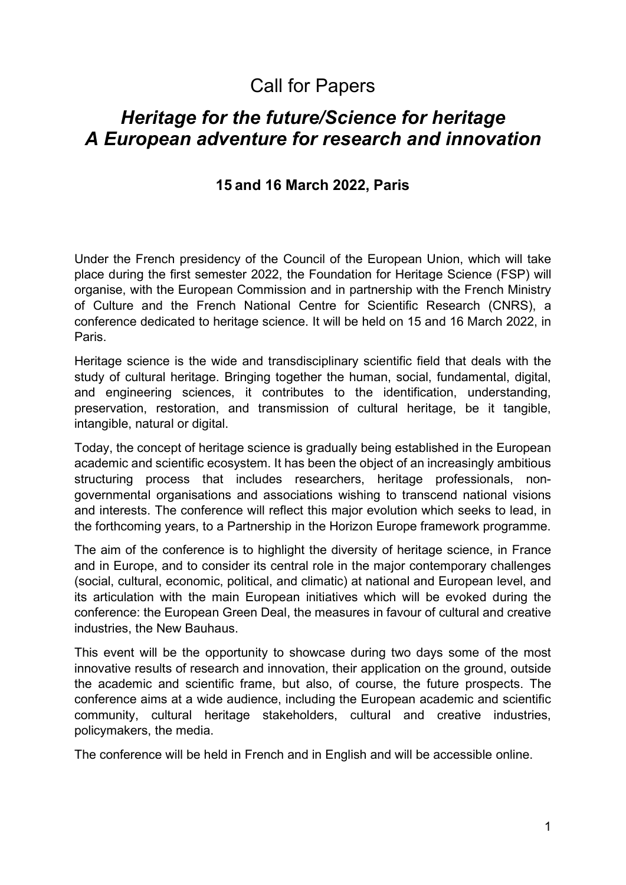# Call for Papers

# *Heritage for the future/Science for heritage A European adventure for research and innovation*

# **15 and 16 March 2022, Paris**

Under the French presidency of the Council of the European Union, which will take place during the first semester 2022, the Foundation for Heritage Science (FSP) will organise, with the European Commission and in partnership with the French Ministry of Culture and the French National Centre for Scientific Research (CNRS), a conference dedicated to heritage science. It will be held on 15 and 16 March 2022, in Paris.

Heritage science is the wide and transdisciplinary scientific field that deals with the study of cultural heritage. Bringing together the human, social, fundamental, digital, and engineering sciences, it contributes to the identification, understanding, preservation, restoration, and transmission of cultural heritage, be it tangible, intangible, natural or digital.

Today, the concept of heritage science is gradually being established in the European academic and scientific ecosystem. It has been the object of an increasingly ambitious structuring process that includes researchers, heritage professionals, nongovernmental organisations and associations wishing to transcend national visions and interests. The conference will reflect this major evolution which seeks to lead, in the forthcoming years, to a Partnership in the Horizon Europe framework programme.

The aim of the conference is to highlight the diversity of heritage science, in France and in Europe, and to consider its central role in the major contemporary challenges (social, cultural, economic, political, and climatic) at national and European level, and its articulation with the main European initiatives which will be evoked during the conference: the European Green Deal, the measures in favour of cultural and creative industries, the New Bauhaus.

This event will be the opportunity to showcase during two days some of the most innovative results of research and innovation, their application on the ground, outside the academic and scientific frame, but also, of course, the future prospects. The conference aims at a wide audience, including the European academic and scientific community, cultural heritage stakeholders, cultural and creative industries, policymakers, the media.

The conference will be held in French and in English and will be accessible online.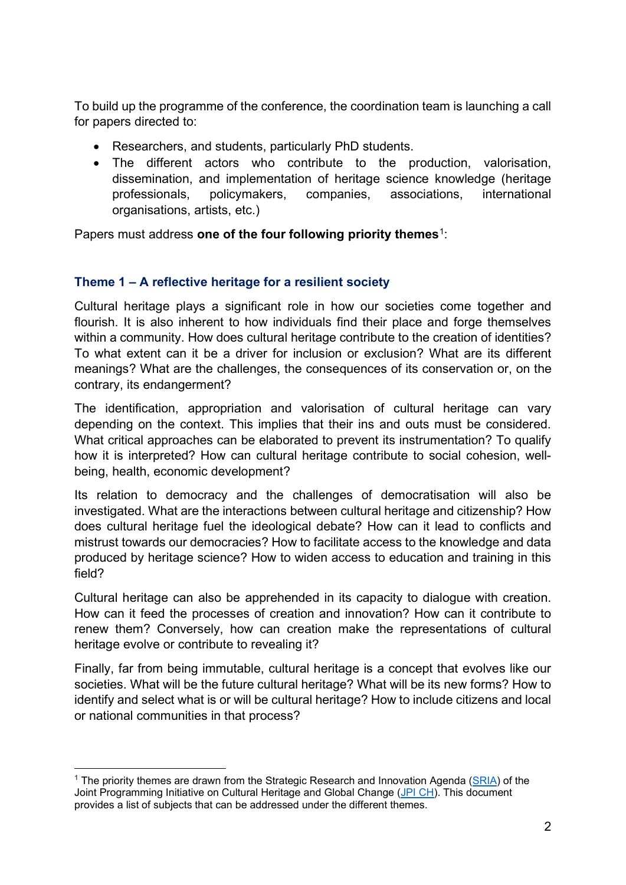To build up the programme of the conference, the coordination team is launching a call for papers directed to:

- Researchers, and students, particularly PhD students.
- The different actors who contribute to the production, valorisation, dissemination, and implementation of heritage science knowledge (heritage professionals, policymakers, companies, associations, international organisations, artists, etc.)

Papers must address **one of the four following priority themes**[1](#page-1-0):

### **Theme 1 – A reflective heritage for a resilient society**

Cultural heritage plays a significant role in how our societies come together and flourish. It is also inherent to how individuals find their place and forge themselves within a community. How does cultural heritage contribute to the creation of identities? To what extent can it be a driver for inclusion or exclusion? What are its different meanings? What are the challenges, the consequences of its conservation or, on the contrary, its endangerment?

The identification, appropriation and valorisation of cultural heritage can vary depending on the context. This implies that their ins and outs must be considered. What critical approaches can be elaborated to prevent its instrumentation? To qualify how it is interpreted? How can cultural heritage contribute to social cohesion, wellbeing, health, economic development?

Its relation to democracy and the challenges of democratisation will also be investigated. What are the interactions between cultural heritage and citizenship? How does cultural heritage fuel the ideological debate? How can it lead to conflicts and mistrust towards our democracies? How to facilitate access to the knowledge and data produced by heritage science? How to widen access to education and training in this field?

Cultural heritage can also be apprehended in its capacity to dialogue with creation. How can it feed the processes of creation and innovation? How can it contribute to renew them? Conversely, how can creation make the representations of cultural heritage evolve or contribute to revealing it?

Finally, far from being immutable, cultural heritage is a concept that evolves like our societies. What will be the future cultural heritage? What will be its new forms? How to identify and select what is or will be cultural heritage? How to include citizens and local or national communities in that process?

<span id="page-1-0"></span><sup>&</sup>lt;sup>1</sup> The priority themes are drawn from the Strategic Research and Innovation Agenda ( $SRIA$ ) of the Joint Programming Initiative on Cultural Heritage and Global Change [\(JPI CH\)](https://www.heritageresearch-hub.eu/homepage/joint-programming-initiative-on-cultural-heritage-homepage/joint-programming-initiative-on-cultural-heritage-about/). This document provides a list of subjects that can be addressed under the different themes.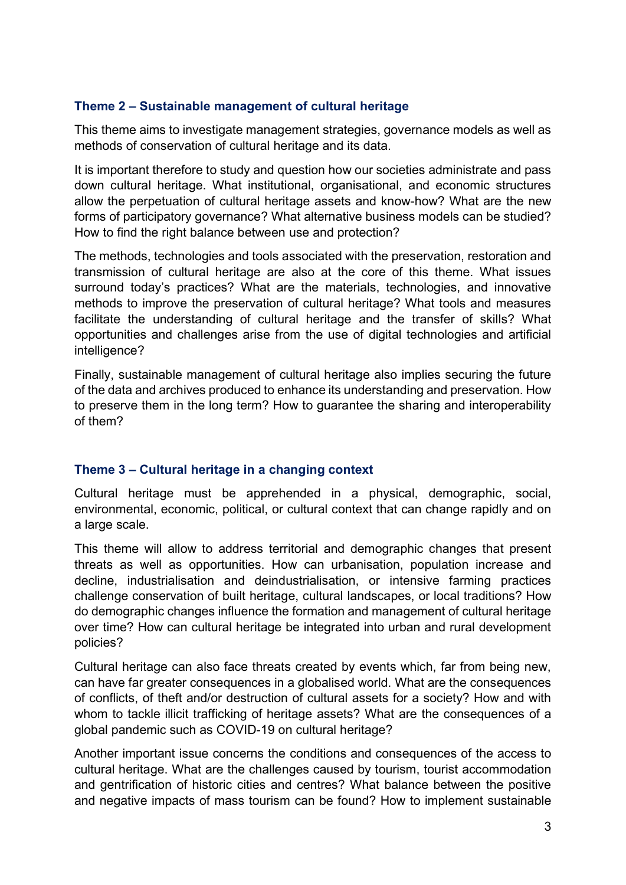# **Theme 2 – Sustainable management of cultural heritage**

This theme aims to investigate management strategies, governance models as well as methods of conservation of cultural heritage and its data.

It is important therefore to study and question how our societies administrate and pass down cultural heritage. What institutional, organisational, and economic structures allow the perpetuation of cultural heritage assets and know-how? What are the new forms of participatory governance? What alternative business models can be studied? How to find the right balance between use and protection?

The methods, technologies and tools associated with the preservation, restoration and transmission of cultural heritage are also at the core of this theme. What issues surround today's practices? What are the materials, technologies, and innovative methods to improve the preservation of cultural heritage? What tools and measures facilitate the understanding of cultural heritage and the transfer of skills? What opportunities and challenges arise from the use of digital technologies and artificial intelligence?

Finally, sustainable management of cultural heritage also implies securing the future of the data and archives produced to enhance its understanding and preservation. How to preserve them in the long term? How to guarantee the sharing and interoperability of them?

### **Theme 3 – Cultural heritage in a changing context**

Cultural heritage must be apprehended in a physical, demographic, social, environmental, economic, political, or cultural context that can change rapidly and on a large scale.

This theme will allow to address territorial and demographic changes that present threats as well as opportunities. How can urbanisation, population increase and decline, industrialisation and deindustrialisation, or intensive farming practices challenge conservation of built heritage, cultural landscapes, or local traditions? How do demographic changes influence the formation and management of cultural heritage over time? How can cultural heritage be integrated into urban and rural development policies?

Cultural heritage can also face threats created by events which, far from being new, can have far greater consequences in a globalised world. What are the consequences of conflicts, of theft and/or destruction of cultural assets for a society? How and with whom to tackle illicit trafficking of heritage assets? What are the consequences of a global pandemic such as COVID-19 on cultural heritage?

Another important issue concerns the conditions and consequences of the access to cultural heritage. What are the challenges caused by tourism, tourist accommodation and gentrification of historic cities and centres? What balance between the positive and negative impacts of mass tourism can be found? How to implement sustainable